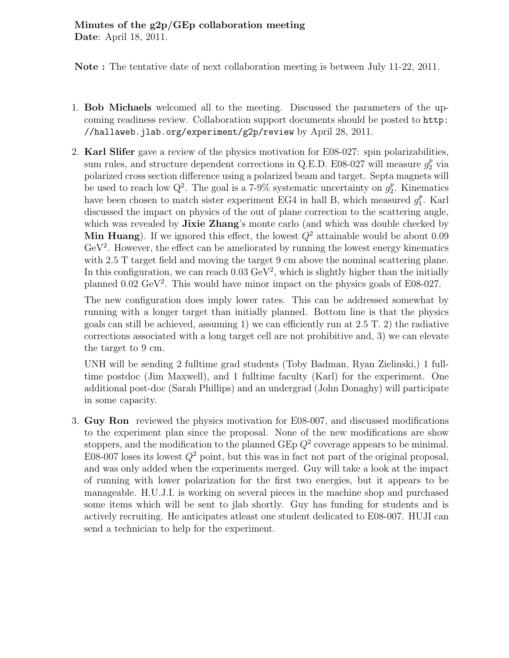Note : The tentative date of next collaboration meeting is between July 11-22, 2011.

- 1. Bob Michaels welcomed all to the meeting. Discussed the parameters of the upcoming readiness review. Collaboration support documents should be posted to http: //hallaweb.jlab.org/experiment/g2p/review by April 28, 2011.
- 2. Karl Slifer gave a review of the physics motivation for E08-027: spin polarizabilities, sum rules, and structure dependent corrections in Q.E.D. E08-027 will measure  $g_2^p$  via polarized cross section difference using a polarized beam and target. Septa magnets will be used to reach low  $Q^2$ . The goal is a 7-9% systematic uncertainty on  $g_2^p$ . Kinematics have been chosen to match sister experiment EG4 in hall B, which measured  $g_1^p$ . Karl discussed the impact on physics of the out of plane correction to the scattering angle, which was revealed by **Jixie Zhang**'s monte carlo (and which was double checked by **Min Huang**). If we ignored this effect, the lowest  $Q^2$  attainable would be about 0.09 GeV<sup>2</sup>. However, the effect can be ameliorated by running the lowest energy kinematics with 2.5 T target field and moving the target 9 cm above the nominal scattering plane. In this configuration, we can reach  $0.03 \text{ GeV}^2$ , which is slightly higher than the initially planned 0.02 GeV<sup>2</sup> . This would have minor impact on the physics goals of E08-027.

The new configuration does imply lower rates. This can be addressed somewhat by running with a longer target than initially planned. Bottom line is that the physics goals can still be achieved, assuming 1) we can efficiently run at  $2.5$  T. 2) the radiative corrections associated with a long target cell are not prohibitive and, 3) we can elevate the target to 9 cm.

UNH will be sending 2 fulltime grad students (Toby Badman, Ryan Zielinski,) 1 fulltime postdoc (Jim Maxwell), and 1 fulltime faculty (Karl) for the experiment. One additional post-doc (Sarah Phillips) and an undergrad (John Donaghy) will participate in some capacity.

3. Guy Ron reviewed the physics motivation for E08-007, and discussed modifications to the experiment plan since the proposal. None of the new modifications are show stoppers, and the modification to the planned  $\mathbf{GEp}\ Q^2$  coverage appears to be minimal. E08-007 loses its lowest  $Q^2$  point, but this was in fact not part of the original proposal, and was only added when the experiments merged. Guy will take a look at the impact of running with lower polarization for the first two energies, but it appears to be manageable. H.U.J.I. is working on several pieces in the machine shop and purchased some items which will be sent to jlab shortly. Guy has funding for students and is actively recruiting. He anticipates atleast one student dedicated to E08-007. HUJI can send a technician to help for the experiment.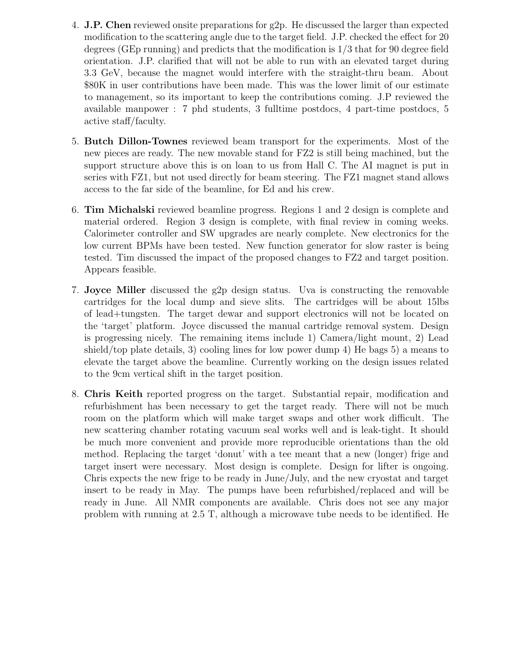- 4. J.P. Chen reviewed onsite preparations for g2p. He discussed the larger than expected modification to the scattering angle due to the target field. J.P. checked the effect for 20 degrees (GEp running) and predicts that the modification is 1/3 that for 90 degree field orientation. J.P. clarified that will not be able to run with an elevated target during 3.3 GeV, because the magnet would interfere with the straight-thru beam. About \$80K in user contributions have been made. This was the lower limit of our estimate to management, so its important to keep the contributions coming. J.P reviewed the available manpower : 7 phd students, 3 fulltime postdocs, 4 part-time postdocs, 5 active staff/faculty.
- 5. Butch Dillon-Townes reviewed beam transport for the experiments. Most of the new pieces are ready. The new movable stand for FZ2 is still being machined, but the support structure above this is on loan to us from Hall C. The AI magnet is put in series with FZ1, but not used directly for beam steering. The FZ1 magnet stand allows access to the far side of the beamline, for Ed and his crew.
- 6. Tim Michalski reviewed beamline progress. Regions 1 and 2 design is complete and material ordered. Region 3 design is complete, with final review in coming weeks. Calorimeter controller and SW upgrades are nearly complete. New electronics for the low current BPMs have been tested. New function generator for slow raster is being tested. Tim discussed the impact of the proposed changes to FZ2 and target position. Appears feasible.
- 7. Joyce Miller discussed the g2p design status. Uva is constructing the removable cartridges for the local dump and sieve slits. The cartridges will be about 15lbs of lead+tungsten. The target dewar and support electronics will not be located on the 'target' platform. Joyce discussed the manual cartridge removal system. Design is progressing nicely. The remaining items include 1) Camera/light mount, 2) Lead shield/top plate details, 3) cooling lines for low power dump 4) He bags 5) a means to elevate the target above the beamline. Currently working on the design issues related to the 9cm vertical shift in the target position.
- 8. Chris Keith reported progress on the target. Substantial repair, modification and refurbishment has been necessary to get the target ready. There will not be much room on the platform which will make target swaps and other work difficult. The new scattering chamber rotating vacuum seal works well and is leak-tight. It should be much more convenient and provide more reproducible orientations than the old method. Replacing the target 'donut' with a tee meant that a new (longer) frige and target insert were necessary. Most design is complete. Design for lifter is ongoing. Chris expects the new frige to be ready in June/July, and the new cryostat and target insert to be ready in May. The pumps have been refurbished/replaced and will be ready in June. All NMR components are available. Chris does not see any major problem with running at 2.5 T, although a microwave tube needs to be identified. He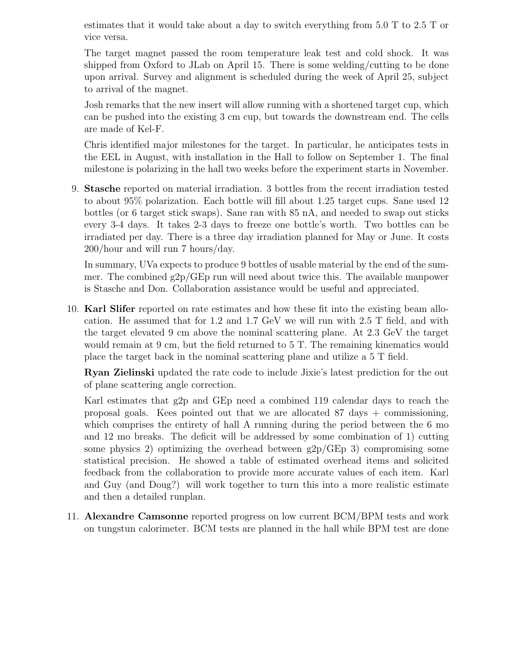estimates that it would take about a day to switch everything from 5.0 T to 2.5 T or vice versa.

The target magnet passed the room temperature leak test and cold shock. It was shipped from Oxford to JLab on April 15. There is some welding/cutting to be done upon arrival. Survey and alignment is scheduled during the week of April 25, subject to arrival of the magnet.

Josh remarks that the new insert will allow running with a shortened target cup, which can be pushed into the existing 3 cm cup, but towards the downstream end. The cells are made of Kel-F.

Chris identified major milestones for the target. In particular, he anticipates tests in the EEL in August, with installation in the Hall to follow on September 1. The final milestone is polarizing in the hall two weeks before the experiment starts in November.

9. Stasche reported on material irradiation. 3 bottles from the recent irradiation tested to about 95% polarization. Each bottle will fill about 1.25 target cups. Sane used 12 bottles (or 6 target stick swaps). Sane ran with 85 nA, and needed to swap out sticks every 3-4 days. It takes 2-3 days to freeze one bottle's worth. Two bottles can be irradiated per day. There is a three day irradiation planned for May or June. It costs 200/hour and will run 7 hours/day.

In summary, UVa expects to produce 9 bottles of usable material by the end of the summer. The combined  $g2p/GEp$  run will need about twice this. The available manpower is Stasche and Don. Collaboration assistance would be useful and appreciated.

10. Karl Slifer reported on rate estimates and how these fit into the existing beam allocation. He assumed that for 1.2 and 1.7 GeV we will run with 2.5 T field, and with the target elevated 9 cm above the nominal scattering plane. At 2.3 GeV the target would remain at 9 cm, but the field returned to 5 T. The remaining kinematics would place the target back in the nominal scattering plane and utilize a 5 T field.

Ryan Zielinski updated the rate code to include Jixie's latest prediction for the out of plane scattering angle correction.

Karl estimates that g2p and GEp need a combined 119 calendar days to reach the proposal goals. Kees pointed out that we are allocated  $87 \text{ days} + \text{commissioning}$ , which comprises the entirety of hall A running during the period between the 6 mo and 12 mo breaks. The deficit will be addressed by some combination of 1) cutting some physics 2) optimizing the overhead between  $g2p/\text{GEp}$  3) compromising some statistical precision. He showed a table of estimated overhead items and solicited feedback from the collaboration to provide more accurate values of each item. Karl and Guy (and Doug?) will work together to turn this into a more realistic estimate and then a detailed runplan.

11. Alexandre Camsonne reported progress on low current BCM/BPM tests and work on tungstun calorimeter. BCM tests are planned in the hall while BPM test are done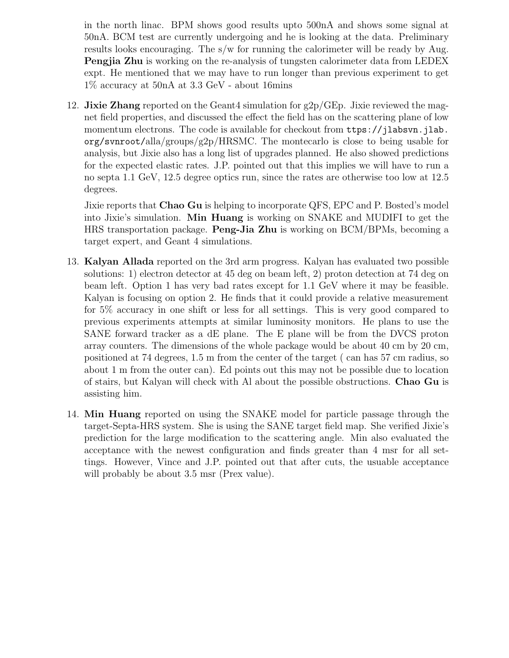in the north linac. BPM shows good results upto 500nA and shows some signal at 50nA. BCM test are currently undergoing and he is looking at the data. Preliminary results looks encouraging. The s/w for running the calorimeter will be ready by Aug. Pengjia Zhu is working on the re-analysis of tungsten calorimeter data from LEDEX expt. He mentioned that we may have to run longer than previous experiment to get 1% accuracy at 50nA at 3.3 GeV - about 16mins

12. **Jixie Zhang** reported on the Geant4 simulation for  $g2p/GEp$ . Jixie reviewed the magnet field properties, and discussed the effect the field has on the scattering plane of low momentum electrons. The code is available for checkout from ttps://jlabsvn.jlab. org/svnroot/alla/groups/g2p/HRSMC. The montecarlo is close to being usable for analysis, but Jixie also has a long list of upgrades planned. He also showed predictions for the expected elastic rates. J.P. pointed out that this implies we will have to run a no septa 1.1 GeV, 12.5 degree optics run, since the rates are otherwise too low at 12.5 degrees.

Jixie reports that Chao Gu is helping to incorporate QFS, EPC and P. Bosted's model into Jixie's simulation. Min Huang is working on SNAKE and MUDIFI to get the HRS transportation package. Peng-Jia Zhu is working on BCM/BPMs, becoming a target expert, and Geant 4 simulations.

- 13. Kalyan Allada reported on the 3rd arm progress. Kalyan has evaluated two possible solutions: 1) electron detector at 45 deg on beam left, 2) proton detection at 74 deg on beam left. Option 1 has very bad rates except for 1.1 GeV where it may be feasible. Kalyan is focusing on option 2. He finds that it could provide a relative measurement for 5% accuracy in one shift or less for all settings. This is very good compared to previous experiments attempts at similar luminosity monitors. He plans to use the SANE forward tracker as a dE plane. The E plane will be from the DVCS proton array counters. The dimensions of the whole package would be about 40 cm by 20 cm, positioned at 74 degrees, 1.5 m from the center of the target ( can has 57 cm radius, so about 1 m from the outer can). Ed points out this may not be possible due to location of stairs, but Kalyan will check with Al about the possible obstructions. Chao Gu is assisting him.
- 14. Min Huang reported on using the SNAKE model for particle passage through the target-Septa-HRS system. She is using the SANE target field map. She verified Jixie's prediction for the large modification to the scattering angle. Min also evaluated the acceptance with the newest configuration and finds greater than 4 msr for all settings. However, Vince and J.P. pointed out that after cuts, the usuable acceptance will probably be about 3.5 msr (Prex value).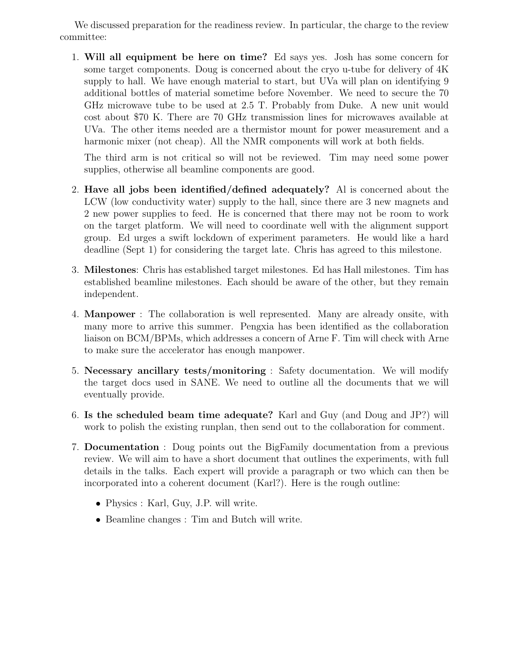We discussed preparation for the readiness review. In particular, the charge to the review committee:

1. Will all equipment be here on time? Ed says yes. Josh has some concern for some target components. Doug is concerned about the cryo u-tube for delivery of 4K supply to hall. We have enough material to start, but UVa will plan on identifying 9 additional bottles of material sometime before November. We need to secure the 70 GHz microwave tube to be used at 2.5 T. Probably from Duke. A new unit would cost about \$70 K. There are 70 GHz transmission lines for microwaves available at UVa. The other items needed are a thermistor mount for power measurement and a harmonic mixer (not cheap). All the NMR components will work at both fields.

The third arm is not critical so will not be reviewed. Tim may need some power supplies, otherwise all beamline components are good.

- 2. Have all jobs been identified/defined adequately? Al is concerned about the LCW (low conductivity water) supply to the hall, since there are 3 new magnets and 2 new power supplies to feed. He is concerned that there may not be room to work on the target platform. We will need to coordinate well with the alignment support group. Ed urges a swift lockdown of experiment parameters. He would like a hard deadline (Sept 1) for considering the target late. Chris has agreed to this milestone.
- 3. Milestones: Chris has established target milestones. Ed has Hall milestones. Tim has established beamline milestones. Each should be aware of the other, but they remain independent.
- 4. Manpower : The collaboration is well represented. Many are already onsite, with many more to arrive this summer. Pengxia has been identified as the collaboration liaison on BCM/BPMs, which addresses a concern of Arne F. Tim will check with Arne to make sure the accelerator has enough manpower.
- 5. Necessary ancillary tests/monitoring : Safety documentation. We will modify the target docs used in SANE. We need to outline all the documents that we will eventually provide.
- 6. Is the scheduled beam time adequate? Karl and Guy (and Doug and JP?) will work to polish the existing runplan, then send out to the collaboration for comment.
- 7. Documentation : Doug points out the BigFamily documentation from a previous review. We will aim to have a short document that outlines the experiments, with full details in the talks. Each expert will provide a paragraph or two which can then be incorporated into a coherent document (Karl?). Here is the rough outline:
	- Physics : Karl, Guy, J.P. will write.
	- Beamline changes : Tim and Butch will write.